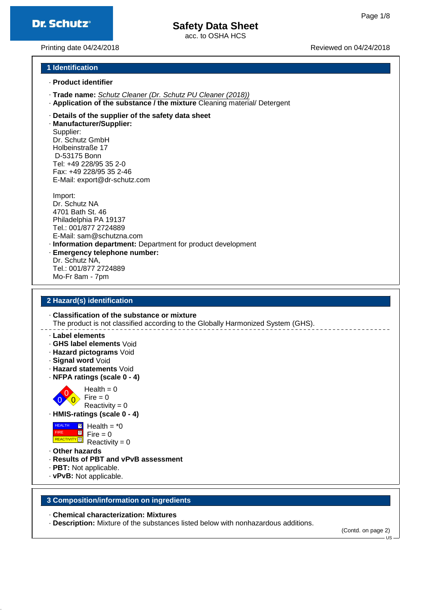acc. to OSHA HCS

Printing date 04/24/2018 **Printing date 04/24/2018** Reviewed on 04/24/2018

#### **1 Identification**

- · **Product identifier**
- · **Trade name:** Schutz Cleaner (Dr. Schutz PU Cleaner (2018))
- · **Application of the substance / the mixture** Cleaning material/ Detergent
- · **Details of the supplier of the safety data sheet**

· **Manufacturer/Supplier:** Supplier: Dr. Schutz GmbH Holbeinstraße 17 D-53175 Bonn Tel: +49 228/95 35 2-0 Fax: +49 228/95 35 2-46 E-Mail: export@dr-schutz.com

Import: Dr. Schutz NA 4701 Bath St. 46 Philadelphia PA 19137 Tel.: 001/877 2724889 E-Mail: sam@schutzna.com · **Information department:** Department for product development

· **Emergency telephone number:** Dr. Schutz NA, Tel.: 001/877 2724889 Mo-Fr 8am - 7pm

#### **2 Hazard(s) identification**

· **Classification of the substance or mixture** The product is not classified according to the Globally Harmonized System (GHS).

· **Label elements**

- · **GHS label elements** Void
- · **Hazard pictograms** Void
- · **Signal word** Void
- · **Hazard statements** Void
- · **NFPA ratings (scale 0 4)**

0  $\overline{0}$  $Health = 0$  $Fire = 0$ Reactivity =  $0$ 

 $\Omega$ 

· **HMIS-ratings (scale 0 - 4)**

 HEALTH FIRE **REACTIVITY** \*0 0 0 Health =  $*0$  $Fire = 0$  $Reactivity = 0$ 

· **Other hazards**

- · **Results of PBT and vPvB assessment**
- · **PBT:** Not applicable.
- · **vPvB:** Not applicable.
- 

#### **3 Composition/information on ingredients**

- · **Chemical characterization: Mixtures**
- · **Description:** Mixture of the substances listed below with nonhazardous additions.

(Contd. on page 2)

 $H<sub>2</sub>$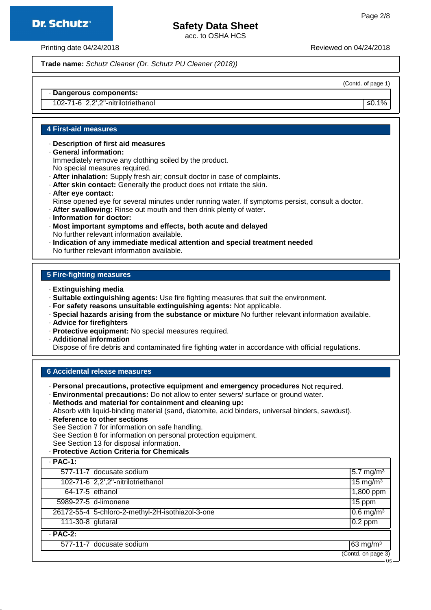### **Dr. Schutz®**

## **Safety Data Sheet**

acc. to OSHA HCS

Printing date 04/24/2018 Reviewed on 04/24/2018

**Trade name:** Schutz Cleaner (Dr. Schutz PU Cleaner (2018))

(Contd. of page 1)

#### · **Dangerous components:**

102-71-6 2,2',2''-nitrilotriethanol ≤0.1%

#### **4 First-aid measures**

- · **Description of first aid measures**
- · **General information:** Immediately remove any clothing soiled by the product. No special measures required.
- · **After inhalation:** Supply fresh air; consult doctor in case of complaints.
- · **After skin contact:** Generally the product does not irritate the skin.
- · **After eye contact:**
- Rinse opened eye for several minutes under running water. If symptoms persist, consult a doctor.
- · **After swallowing:** Rinse out mouth and then drink plenty of water.
- · **Information for doctor:**
- · **Most important symptoms and effects, both acute and delayed** No further relevant information available.
- · **Indication of any immediate medical attention and special treatment needed** No further relevant information available.

#### **5 Fire-fighting measures**

- · **Extinguishing media**
- · **Suitable extinguishing agents:** Use fire fighting measures that suit the environment.
- · **For safety reasons unsuitable extinguishing agents:** Not applicable.
- · **Special hazards arising from the substance or mixture** No further relevant information available.
- · **Advice for firefighters**
- · **Protective equipment:** No special measures required.
- · **Additional information**

Dispose of fire debris and contaminated fire fighting water in accordance with official regulations.

#### **6 Accidental release measures**

- · **Personal precautions, protective equipment and emergency procedures** Not required.
- · **Environmental precautions:** Do not allow to enter sewers/ surface or ground water.
- · **Methods and material for containment and cleaning up:**

Absorb with liquid-binding material (sand, diatomite, acid binders, universal binders, sawdust).

- · **Reference to other sections** See Section 7 for information on safe handling. See Section 8 for information on personal protection equipment. See Section 13 for disposal information.
- · **Protective Action Criteria for Chemicals**

| $·$ PAC-1:        |                                                  |                                 |  |  |
|-------------------|--------------------------------------------------|---------------------------------|--|--|
|                   | 577-11-7 docusate sodium                         | $5.7 \text{ mg/m}^3$            |  |  |
|                   | 102-71-6 2,2',2"-nitrilotriethanol               | $\sqrt{15}$ mg/m <sup>3</sup>   |  |  |
| $64-17-5$ ethanol |                                                  | 1,800 ppm                       |  |  |
|                   | 5989-27-5 d-limonene                             | 15 ppm                          |  |  |
|                   | 26172-55-4 5-chloro-2-methyl-2H-isothiazol-3-one | $\sqrt{0.6}$ mg/m <sup>3</sup>  |  |  |
| 111-30-8 glutaral |                                                  | $0.2$ ppm                       |  |  |
| $·$ PAC-2:        |                                                  |                                 |  |  |
|                   | 577-11-7 docusate sodium                         | $63 \text{ mg/m}^3$             |  |  |
|                   |                                                  | $\overline{(Contd. on page 3)}$ |  |  |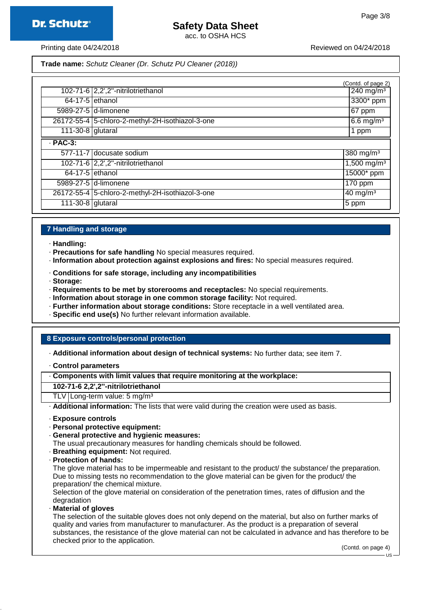acc. to OSHA HCS

Printing date 04/24/2018 **Printing date 04/24/2018** Reviewed on 04/24/2018

**Trade name:** Schutz Cleaner (Dr. Schutz PU Cleaner (2018))

|                   |                                                  | (Contd. of page 2)             |  |
|-------------------|--------------------------------------------------|--------------------------------|--|
|                   | 102-71-6 2,2',2"-nitrilotriethanol               | $\sqrt{240}$ mg/m <sup>3</sup> |  |
| $64-17-5$ ethanol |                                                  | $3300*$ ppm                    |  |
|                   | 5989-27-5 d-limonene                             | $ 67$ ppm                      |  |
|                   | 26172-55-4 5-chloro-2-methyl-2H-isothiazol-3-one | $6.6$ mg/m <sup>3</sup>        |  |
| 111-30-8 glutaral |                                                  | 1 ppm                          |  |
| $·$ PAC-3:        |                                                  |                                |  |
|                   | 577-11-7 docusate sodium                         | 380 mg/m <sup>3</sup>          |  |
|                   | 102-71-6 2,2',2"-nitrilotriethanol               | $1,500$ mg/m <sup>3</sup>      |  |
| $64-17-5$ ethanol |                                                  | 15000* ppm                     |  |
|                   | 5989-27-5 d-limonene                             | $\overline{170}$ ppm           |  |
|                   | 26172-55-4 5-chloro-2-methyl-2H-isothiazol-3-one | $40 \text{ mg/m}^3$            |  |
| 111-30-8 glutaral |                                                  | $5$ ppm                        |  |

#### **7 Handling and storage**

- · **Handling:**
- · **Precautions for safe handling** No special measures required.
- · **Information about protection against explosions and fires:** No special measures required.
- · **Conditions for safe storage, including any incompatibilities**
- · **Storage:**
- · **Requirements to be met by storerooms and receptacles:** No special requirements.
- · **Information about storage in one common storage facility:** Not required.
- · **Further information about storage conditions:** Store receptacle in a well ventilated area.
- · **Specific end use(s)** No further relevant information available.

#### **8 Exposure controls/personal protection**

- · **Additional information about design of technical systems:** No further data; see item 7.
- · **Control parameters**
- · **Components with limit values that require monitoring at the workplace:**

#### **102-71-6 2,2',2''-nitrilotriethanol**

TLV Long-term value:  $5 \text{ mg/m}^3$ 

· **Additional information:** The lists that were valid during the creation were used as basis.

- · **Exposure controls**
- · **Personal protective equipment:**
- · **General protective and hygienic measures:**
- The usual precautionary measures for handling chemicals should be followed.
- · **Breathing equipment:** Not required.
- · **Protection of hands:**

The glove material has to be impermeable and resistant to the product/ the substance/ the preparation. Due to missing tests no recommendation to the glove material can be given for the product/ the preparation/ the chemical mixture.

Selection of the glove material on consideration of the penetration times, rates of diffusion and the degradation

· **Material of gloves**

The selection of the suitable gloves does not only depend on the material, but also on further marks of quality and varies from manufacturer to manufacturer. As the product is a preparation of several substances, the resistance of the glove material can not be calculated in advance and has therefore to be checked prior to the application.

(Contd. on page 4)

US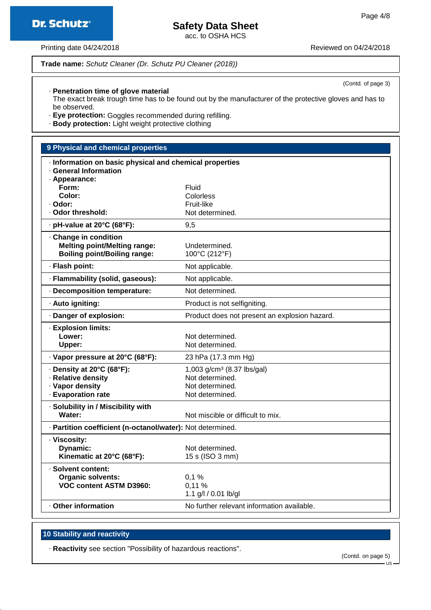(Contd. of page 3)



acc. to OSHA HCS

Printing date 04/24/2018 **Printing date 04/24/2018** Reviewed on 04/24/2018

**Dr. Schutz®** 

**Trade name:** Schutz Cleaner (Dr. Schutz PU Cleaner (2018))

· **Penetration time of glove material**

The exact break trough time has to be found out by the manufacturer of the protective gloves and has to be observed.

· **Eye protection:** Goggles recommended during refilling.

· **Body protection:** Light weight protective clothing

### **9 Physical and chemical properties** · **Information on basic physical and chemical properties** · **General Information** · **Appearance: Form:** Fluid **Color:** Colorless · **Odor:** Fruit-like · Odor threshold: Not determined. • **pH-value at 20°C (68°F):** 9,5 · **Change in condition Melting point/Melting range:** Undetermined. **Boiling point/Boiling range:** 100°C (212°F) · **Flash point:** Not applicable. · **Flammability (solid, gaseous):** Not applicable. · **Decomposition temperature:** Not determined. · **Auto igniting:** Product is not selfigniting. · **Danger of explosion:** Product does not present an explosion hazard. · **Explosion limits:** Lower: Not determined. Upper: Not determined. · **Vapor pressure at 20°C (68°F):** 23 hPa (17.3 mm Hg) · **Density at 20°C (68°F):** 1,003 g/cm<sup>3</sup> (8.37 lbs/gal) · **Relative density** Not determined. · **Vapor density** and **Not determined.** · **Evaporation rate** Not determined. · **Solubility in / Miscibility with Water:** Water: Not miscible or difficult to mix. · **Partition coefficient (n-octanol/water):** Not determined. · **Viscosity: Dynamic:** Not determined. **Kinematic at 20°C (68°F):** 15 s (ISO 3 mm) · **Solvent content: Organic solvents:** 0,1 % **VOC content ASTM D3960:** 0,11 % 1.1 g/l / 0.01 lb/gl · **Other information** No further relevant information available.

#### **10 Stability and reactivity**

· **Reactivity** see section "Possibility of hazardous reactions".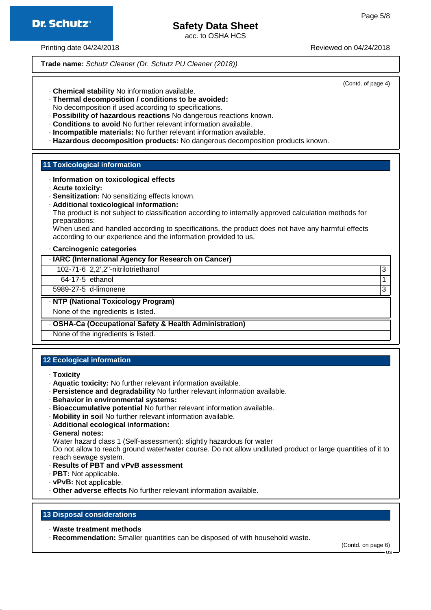

acc. to OSHA HCS

Printing date 04/24/2018 **Printing date 04/24/2018** Reviewed on 04/24/2018

**Trade name:** Schutz Cleaner (Dr. Schutz PU Cleaner (2018))

(Contd. of page 4)

- · **Chemical stability** No information available.
- · **Thermal decomposition / conditions to be avoided:**
- No decomposition if used according to specifications.
- · **Possibility of hazardous reactions** No dangerous reactions known.
- · **Conditions to avoid** No further relevant information available.
- · **Incompatible materials:** No further relevant information available.
- · **Hazardous decomposition products:** No dangerous decomposition products known.

#### **11 Toxicological information**

#### · **Information on toxicological effects**

- · **Acute toxicity:**
- · **Sensitization:** No sensitizing effects known.
- · **Additional toxicological information:**

The product is not subject to classification according to internally approved calculation methods for preparations:

When used and handled according to specifications, the product does not have any harmful effects according to our experience and the information provided to us.

#### · **Carcinogenic categories**

#### · **IARC (International Agency for Research on Cancer)**

102-71-6 2,2',2''-nitrilotriethanol 3

64-17-5 ethanol 1

5989-27-5 d-limonene 3

#### · **NTP (National Toxicology Program)**

None of the ingredients is listed.

#### · **OSHA-Ca (Occupational Safety & Health Administration)**

None of the ingredients is listed.

#### **12 Ecological information**

#### · **Toxicity**

- · **Aquatic toxicity:** No further relevant information available.
- · **Persistence and degradability** No further relevant information available.
- · **Behavior in environmental systems:**
- · **Bioaccumulative potential** No further relevant information available.
- · **Mobility in soil** No further relevant information available.
- · **Additional ecological information:**
- · **General notes:**

Water hazard class 1 (Self-assessment): slightly hazardous for water

Do not allow to reach ground water/water course. Do not allow undiluted product or large quantities of it to reach sewage system.

- · **Results of PBT and vPvB assessment**
- · **PBT:** Not applicable.
- · **vPvB:** Not applicable.
- · **Other adverse effects** No further relevant information available.

#### **13 Disposal considerations**

· **Waste treatment methods**

· **Recommendation:** Smaller quantities can be disposed of with household waste.

(Contd. on page 6)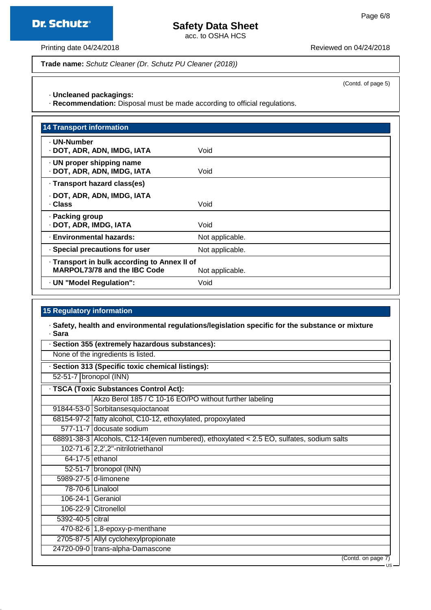**Dr. Schutz®** 

### **Safety Data Sheet**

acc. to OSHA HCS

Printing date 04/24/2018 **Printing date 04/24/2018** 

**Trade name:** Schutz Cleaner (Dr. Schutz PU Cleaner (2018))

(Contd. of page 5)

· **Uncleaned packagings:**

· **Recommendation:** Disposal must be made according to official regulations.

| <b>14 Transport information</b>                                                     |                 |
|-------------------------------------------------------------------------------------|-----------------|
| - UN-Number<br>· DOT, ADR, ADN, IMDG, IATA                                          | Void            |
| · UN proper shipping name<br>· DOT, ADR, ADN, IMDG, IATA                            | Void            |
| · Transport hazard class(es)                                                        |                 |
| · DOT, ADR, ADN, IMDG, IATA<br>· Class                                              | Void            |
| · Packing group<br>· DOT, ADR, IMDG, IATA                                           | Void            |
| · Environmental hazards:                                                            | Not applicable. |
| · Special precautions for user                                                      | Not applicable. |
| · Transport in bulk according to Annex II of<br><b>MARPOL73/78 and the IBC Code</b> | Not applicable. |
| · UN "Model Regulation":                                                            | Void            |

#### **15 Regulatory information**

· **Safety, health and environmental regulations/legislation specific for the substance or mixture** · **Sara**

| · Section 355 (extremely hazardous substances): |                                                                                          |  |
|-------------------------------------------------|------------------------------------------------------------------------------------------|--|
| None of the ingredients is listed.              |                                                                                          |  |
|                                                 | · Section 313 (Specific toxic chemical listings):                                        |  |
| 52-51-7 bronopol (INN)                          |                                                                                          |  |
|                                                 | · TSCA (Toxic Substances Control Act):                                                   |  |
|                                                 | Akzo Berol 185 / C 10-16 EO/PO without further labeling                                  |  |
|                                                 | 91844-53-0 Sorbitansesquioctanoat                                                        |  |
|                                                 | 68154-97-2   fatty alcohol, C10-12, ethoxylated, propoxylated                            |  |
|                                                 | 577-11-7 docusate sodium                                                                 |  |
|                                                 | 68891-38-3 Alcohols, C12-14(even numbered), ethoxylated < 2.5 EO, sulfates, sodium salts |  |
|                                                 | 102-71-6 2,2',2"-nitrilotriethanol                                                       |  |
|                                                 | $64-17-5$ ethanol                                                                        |  |
|                                                 | $52-51-7$ bronopol (INN)                                                                 |  |
|                                                 | 5989-27-5 d-limonene                                                                     |  |
|                                                 | 78-70-6 Linalool                                                                         |  |
|                                                 | 106-24-1 Geraniol                                                                        |  |
|                                                 | 106-22-9 Citronellol                                                                     |  |
| 5392-40-5 citral                                |                                                                                          |  |
|                                                 | $470-82-6$ 1,8-epoxy-p-menthane                                                          |  |
|                                                 | 2705-87-5 Allyl cyclohexylpropionate                                                     |  |
|                                                 | 24720-09-0 trans-alpha-Damascone                                                         |  |
|                                                 | (Contd. on page 7)                                                                       |  |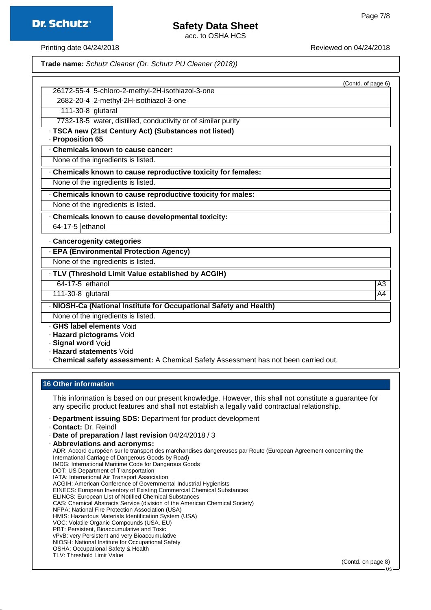acc. to OSHA HCS

Printing date 04/24/2018 **Printing date 04/24/2018** Reviewed on 04/24/2018

**Trade name:** Schutz Cleaner (Dr. Schutz PU Cleaner (2018))

|                                                                                      | (Contd. of page 6) |
|--------------------------------------------------------------------------------------|--------------------|
| 26172-55-4 5-chloro-2-methyl-2H-isothiazol-3-one                                     |                    |
| 2682-20-4 2-methyl-2H-isothiazol-3-one                                               |                    |
| 111-30-8 glutaral                                                                    |                    |
| 7732-18-5 water, distilled, conductivity or of similar purity                        |                    |
| · TSCA new (21st Century Act) (Substances not listed)<br>- Proposition 65            |                    |
| Chemicals known to cause cancer:                                                     |                    |
| None of the ingredients is listed.                                                   |                    |
| Chemicals known to cause reproductive toxicity for females:                          |                    |
| None of the ingredients is listed.                                                   |                    |
| Chemicals known to cause reproductive toxicity for males:                            |                    |
| None of the ingredients is listed.                                                   |                    |
| Chemicals known to cause developmental toxicity:                                     |                    |
| $64-17-5$ ethanol                                                                    |                    |
| · Cancerogenity categories                                                           |                    |
| · EPA (Environmental Protection Agency)                                              |                    |
| None of the ingredients is listed.                                                   |                    |
| · TLV (Threshold Limit Value established by ACGIH)                                   |                    |
| 64-17-5 ethanol                                                                      | A <sub>3</sub>     |
| $111-30-8$ glutaral                                                                  | A4                 |
| · NIOSH-Ca (National Institute for Occupational Safety and Health)                   |                    |
| None of the ingredients is listed.                                                   |                    |
| . GHS label elements Void                                                            |                    |
| · Hazard pictograms Void                                                             |                    |
| · Signal word Void                                                                   |                    |
| · Hazard statements Void                                                             |                    |
| - Chemical safety assessment: A Chemical Safety Assessment has not been carried out. |                    |

### **16 Other information**

This information is based on our present knowledge. However, this shall not constitute a guarantee for any specific product features and shall not establish a legally valid contractual relationship.

- · **Department issuing SDS:** Department for product development
- · **Contact:** Dr. Reindl
- · **Date of preparation / last revision** 04/24/2018 / 3

ADR: Accord européen sur le transport des marchandises dangereuses par Route (European Agreement concerning the International Carriage of Dangerous Goods by Road) IMDG: International Maritime Code for Dangerous Goods DOT: US Department of Transportation IATA: International Air Transport Association ACGIH: American Conference of Governmental Industrial Hygienists EINECS: European Inventory of Existing Commercial Chemical Substances ELINCS: European List of Notified Chemical Substances CAS: Chemical Abstracts Service (division of the American Chemical Society)

- NFPA: National Fire Protection Association (USA)
- HMIS: Hazardous Materials Identification System (USA) VOC: Volatile Organic Compounds (USA, EU)
- PBT: Persistent, Bioaccumulative and Toxic
- vPvB: very Persistent and very Bioaccumulative
- NIOSH: National Institute for Occupational Safety
- OSHA: Occupational Safety & Health
- TLV: Threshold Limit Value

(Contd. on page 8)

<sup>·</sup> **Abbreviations and acronyms:**